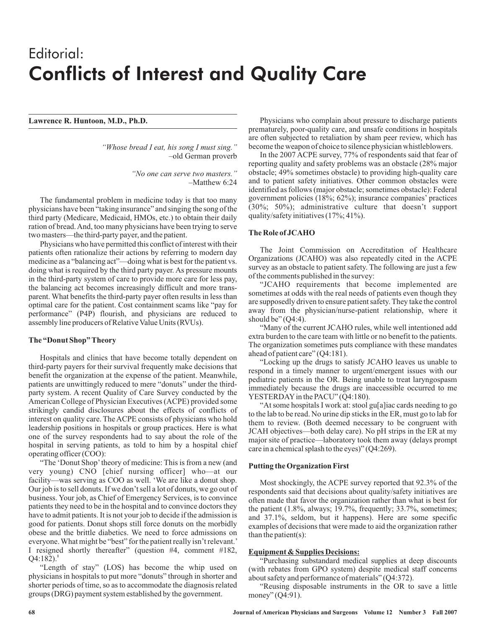# Editorial: Conflicts of Interest and Quality Care

## **Lawrence R. Huntoon, M.D., Ph.D.**

*"Whose bread I eat, his song I must sing."* –old German proverb

> *"No one can serve two masters."* –Matthew 6:24

The fundamental problem in medicine today is that too many physicians have been "taking insurance" and singing the song of the third party (Medicare, Medicaid, HMOs, etc.) to obtain their daily ration of bread.And, too many physicians have been trying to serve two masters—the third-party payer, and the patient.

Physicians who have permitted this conflict of interest with their patients often rationalize their actions by referring to modern day medicine as a "balancing act"—doing what is best for the patient vs. doing what is required by the third party payer. As pressure mounts in the third-party system of care to provide more care for less pay, the balancing act becomes increasingly difficult and more transparent. What benefits the third-party payer often results in less than optimal care for the patient. Cost containment scams like "pay for performance" (P4P) flourish, and physicians are reduced to assembly line producers of Relative Value Units (RVUs).

## **The "Donut Shop" Theory**

Hospitals and clinics that have become totally dependent on third-party payers for their survival frequently make decisions that benefit the organization at the expense of the patient. Meanwhile, patients are unwittingly reduced to mere "donuts" under the thirdparty system. A recent Quality of Care Survey conducted by the American College of Physician Executives (ACPE) provided some strikingly candid disclosures about the effects of conflicts of interest on quality care. The ACPE consists of physicians who hold leadership positions in hospitals or group practices. Here is what one of the survey respondents had to say about the role of the hospital in serving patients, as told to him by a hospital chief operating officer (COO):

"The 'Donut Shop'theory of medicine: This is from a new (and very young) CNO [chief nursing officer] who—at our facility—was serving as COO as well. 'We are like a donut shop. Our job is to sell donuts. If we don't sell a lot of donuts, we go out of business. Your job, as Chief of Emergency Services, is to convince patients they need to be in the hospital and to convince doctors they have to admit patients. It is not your job to decide if the admission is good for patients. Donut shops still force donuts on the morbidly obese and the brittle diabetics. We need to force admissions on everyone. What might be "best" for the patient really isn't relevant.' I resigned shortly thereafter" (question #4, comment #182,  $Q4:182$ <sup>1</sup>

"Length of stay" (LOS) has become the whip used on physicians in hospitals to put more "donuts" through in shorter and shorter periods of time, so as to accommodate the diagnosis related groups (DRG) payment system established by the government.

Physicians who complain about pressure to discharge patients prematurely, poor-quality care, and unsafe conditions in hospitals are often subjected to retaliation by sham peer review, which has become the weapon of choice to silence physician whistleblowers.

In the 2007 ACPE survey, 77% of respondents said that fear of reporting quality and safety problems was an obstacle (28% major obstacle; 49% sometimes obstacle) to providing high-quality care and to patient safety initiatives. Other common obstacles were identified as follows (major obstacle; sometimes obstacle): Federal government policies (18%; 62%); insurance companies' practices (30%; 50%); administrative culture that doesn't support quality/safety initiatives (17%; 41%).

#### **The Role of JCAHO**

The Joint Commission on Accreditation of Healthcare Organizations (JCAHO) was also repeatedly cited in the ACPE survey as an obstacle to patient safety. The following are just a few of the comments published in the survey:

"JCAHO requirements that become implemented are sometimes at odds with the real needs of patients even though they are supposedly driven to ensure patient safety. They take the control away from the physician/nurse-patient relationship, where it should be"  $(Q4:4)$ .

"Many of the current JCAHO rules, while well intentioned add extra burden to the care team with little or no benefit to the patients. The organization sometimes puts compliance with these mandates ahead of patient care" (Q4:181).

"Locking up the drugs to satisfy JCAHO leaves us unable to respond in a timely manner to urgent/emergent issues with our pediatric patients in the OR. Being unable to treat laryngospasm immediately because the drugs are inaccessible occurred to me YESTERDAY in the PACU" (Q4:180).

"At some hospitals I work at: stool gu[a]iac cards needing to go to the lab to be read. No urine dip sticks in the ER, must go to lab for them to review. (Both deemed necessary to be congruent with JCAH objectives—both delay care). No pH strips in the ER at my major site of practice—laboratory took them away (delays prompt care in a chemical splash to the eyes)" (Q4:269).

### **Putting the Organization First**

Most shockingly, the ACPE survey reported that 92.3% of the respondents said that decisions about quality/safety initiatives are often made that favor the organization rather than what is best for the patient (1.8%, always; 19.7%, frequently; 33.7%, sometimes; and 37.1%, seldom, but it happens). Here are some specific examples of decisions that were made to aid the organization rather than the patient(s):

## **Equipment & Supplies Decisions:**

"Purchasing substandard medical supplies at deep discounts (with rebates from GPO system) despite medical staff concerns about safety and performance of materials" (Q4:372).

"Reusing disposable instruments in the OR to save a little money" (04:91).